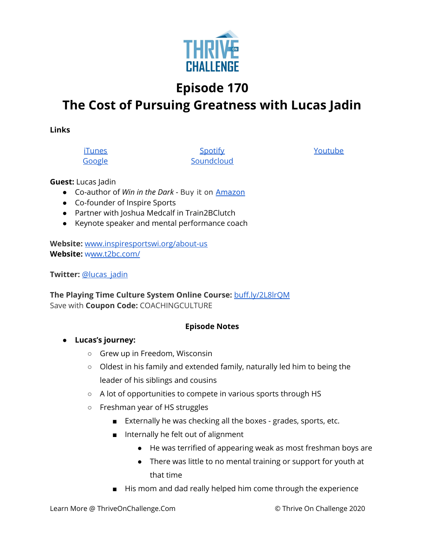

## **Episode 170**

# **The Cost of Pursuing Greatness with Lucas Jadin**

**Links**

**[iTunes](https://podcasts.apple.com/us/podcast/coaching-culture/id1286560192)** [Google](https://podcasts.google.com/feed/aHR0cHM6Ly9mZWVkcy5zb3VuZGNsb3VkLmNvbS91c2Vycy9zb3VuZGNsb3VkOnVzZXJzOjQxMDQyNzcvc291bmRzLnJzcw?ved=2ahUKEwiSpYquy9vqAhVbQUEAHSAkC88Q4aUDegQIARAC)

**[Spotify](https://open.spotify.com/show/336Hs8udk8s0yXuK3BzSOq) [Soundcloud](https://soundcloud.com/thriveonchallenge)**  [Youtube](https://www.youtube.com/channel/UC3vIljCBzwHcPyVIx9kiHvw)

#### **Guest:** Lucas Jadin

- Co-author of *Win in the Dark* Buy it on [Amazon](https://www.amazon.com/Win-Dark-bright-lights-reveal/dp/1735123501)
- Co-founder of Inspire Sports
- Partner with Joshua Medcalf in Train2BClutch
- Keynote speaker and mental performance coach

**Website:** [www.inspiresportswi.org/about-us](https://gate.sc/?url=https%3A%2F%2Fwww.inspiresportswi.org%2Fabout-us&token=cf6d91-1-1607437698202) **Website:** [www.t2bc.com/](https://gate.sc/?url=https%3A%2F%2Fwww.t2bc.com%2F&token=79da5c-1-1607437698203)

**Twitter:** [@lucas\\_jadin](https://twitter.com/lucas_jadin)

**The Playing Time Culture System Online Course:** [buff.ly/2L8lrQM](https://gate.sc/?url=http%3A%2F%2Fbuff.ly%2F2L8lrQM&token=32ca9-1-1607437698203) Save with **Coupon Code:** COACHINGCULTURE

#### **Episode Notes**

- **● Lucas's journey:**
	- Grew up in Freedom, Wisconsin
	- Oldest in his family and extended family, naturally led him to being the leader of his siblings and cousins
	- A lot of opportunities to compete in various sports through HS
	- Freshman year of HS struggles
		- Externally he was checking all the boxes grades, sports, etc.
		- Internally he felt out of alignment
			- He was terrified of appearing weak as most freshman boys are
			- There was little to no mental training or support for youth at that time
		- His mom and dad really helped him come through the experience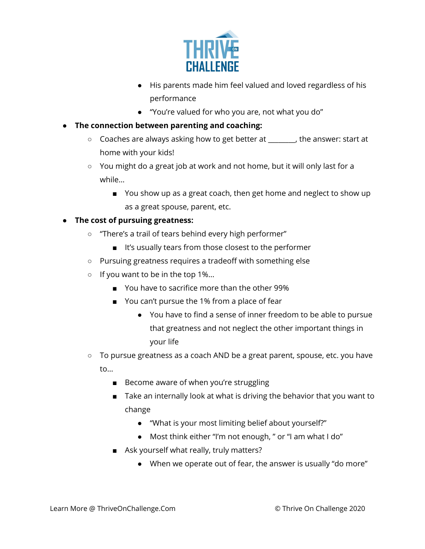

- His parents made him feel valued and loved regardless of his performance
- "You're valued for who you are, not what you do"
- **● The connection between parenting and coaching:**
	- Coaches are always asking how to get better at \_\_\_\_\_\_\_\_, the answer: start at home with your kids!
	- You might do a great job at work and not home, but it will only last for a while…
		- You show up as a great coach, then get home and neglect to show up as a great spouse, parent, etc.

### **● The cost of pursuing greatness:**

- "There's a trail of tears behind every high performer"
	- It's usually tears from those closest to the performer
- Pursuing greatness requires a tradeoff with something else
- If you want to be in the top 1%...
	- You have to sacrifice more than the other 99%
	- You can't pursue the 1% from a place of fear
		- You have to find a sense of inner freedom to be able to pursue that greatness and not neglect the other important things in your life
- To pursue greatness as a coach AND be a great parent, spouse, etc. you have to…
	- Become aware of when you're struggling
	- Take an internally look at what is driving the behavior that you want to change
		- "What is your most limiting belief about yourself?"
		- Most think either "I'm not enough, " or "I am what I do"
	- Ask yourself what really, truly matters?
		- When we operate out of fear, the answer is usually "do more"